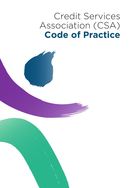# Credit Services Association (CSA) **Code of Practice**

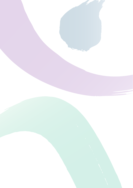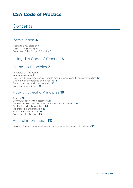# **CSA Code of Practice**

### **Contents**

#### Introduction **4**

About the Association **4** Legal and regulatory **5** Breaches of this Code of Practice **5**

### Using this Code of Practice **6**

#### Common Principles **7**

Principles of Business **8** Key requirements **9** Dealing with customers in vulnerable circumstances and financial difficulties **12** Dealing with complaints and disputes **14** Data protection and confidentiality **16** Compliance monitoring **18**

### Activity Specific Principles **19**

#### Tracing **20**

Communication with customers **21** Doorstep/field collection activity and reconnection visits **23** Debt sale and debt purchase **24** Pre-litigation and litigation **26** International collections **28** Commercial collections **29**

### Helpful information **30**

Helpful information for customers, their representatives and individuals **30**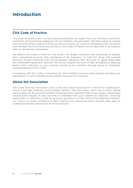### **Introduction**

#### **CSA Code of Practice**

This Code of Practice sets out best practice standards we expect from our members, and which customers and businesses engaging with our members should expect. Members agree to comply with the word of this Code of Practice, as well as the spirit, by virtue of membership. We will ensure that members found to be acting contrary to this Code of Practice will be dealt with in accordance with our disciplinary procedures.

We believe this Code of Practice ("this Code") will enable customers and businesses to address their outstanding accounts with confidence of fair treatment. To fulfil this, those with overdue accounts should cooperate with the businesses managing their accounts to agree reasonable and sustainable repayment solutions. We do not support any level of debt avoidance or delaying tactics from customers, or any nuisance caused to our members through abuse or intentional misinterpretation of this Code.

Compliance with this Code is mandatory for CSA members to ensure best practice standards are maintained, it is also intended to be a helpful resource for customers.

#### **About the Association**

The Credit Services Association (CSA) is the only national association in the UK for organisations active in the debt collection and purchase industry. The Association, which has a history dating back to 1906, has around 300 member companies which represent 90% of the industry, and employ around 11,000 people. At any one time its members hold up to £60bn for collection, returning nearly £3bn in collections to the UK economy per annum. As the voice of the collections industry, our vision is to build confidence in debt collection by making the entire process clear, easy to understand and less stressful for all those involved.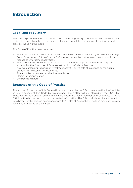### **Introduction**

#### **Legal and regulatory**

The CSA expects members to maintain all required regulatory permissions, authorisations, and registrations and to adhere to all relevant legal and regulatory requirements, guidance and best practice, including this Code.

This Code of Practice does not cover:

- The Enforcement activities of public and private sector Enforcement Agents (bailiffs and High Court Enforcement Officers) or the Enforcement Agencies that employ them (but only in respect of Enforcement activities).
- The products and/or services of CSA Supplier Members. Supplier Members are required to work within the Principles of Business set out in this Code of Practice.
- Any type of lending, savings or investment activity, or the sale of insurance or mortgage products for customers or businesses.
- The activities of brokers or other intermediaries .
- Claims for compensation.
- Contractual disputes.

#### **Breaches of this Code of Practice**

Allegations of breaches of this Code will be investigated by the CSA. If any investigation identifies serious breaches of this Code by any member, the matter will be referred by the CSA Chief Executive to the Conduct Committee, where necessary. Each member shall cooperate with the CSA in a timely manner, providing requested information. The CSA shall determine any sanction for a breach of this Code in accordance with its Articles of Association. The CSA may publicise any sanctions it imposes on a member.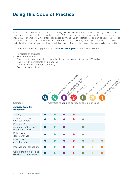### **Using this Code of Practice**

This Code is divided into sections relating to certain activities carried out by CSA member companies. Some sections apply to all CSA members while some sections apply only to those CSA members who offer specialist services. Each section is colour-coded, relative to the activities the section relates to. Members must comply with all sections applicable to their business activities, as illustrated by the colour-coded symbols alongside the activity.

CSA members must comply with the **Common Principles**, which are as follows:

- Principles of business
- Key requirements
- Dealing with customers in vulnerable circumstances and financial difficulties
- Dealing with complaints and disputes
- Data protection and confidentiality
- Compliance monitoring

| Sections                                                         | Tracing | Communication with customers<br>Activities relating to particular section of Code | a city it y and recommending tights<br>looking teel relations | Prelitioation and litigation | Commercial collections<br>I International collections | Constrators Construction of |
|------------------------------------------------------------------|---------|-----------------------------------------------------------------------------------|---------------------------------------------------------------|------------------------------|-------------------------------------------------------|-----------------------------|
|                                                                  |         |                                                                                   |                                                               |                              |                                                       |                             |
| <b>Activity Specific</b><br><b>Principles:</b>                   |         |                                                                                   |                                                               |                              |                                                       |                             |
| Tracing                                                          |         |                                                                                   |                                                               |                              |                                                       |                             |
| Communication<br>with customers                                  |         |                                                                                   |                                                               |                              |                                                       |                             |
| Doorstep/field<br>collection activity and<br>reconnection visits |         |                                                                                   |                                                               |                              |                                                       |                             |
| Debt sale and<br>debt purchase                                   |         |                                                                                   |                                                               |                              |                                                       |                             |
| Pre-litigation<br>and litigation                                 |         |                                                                                   |                                                               | $\bullet$                    |                                                       |                             |
| International collections                                        |         |                                                                                   |                                                               |                              |                                                       |                             |
| Commercial collections<br>(business-to-business)                 |         |                                                                                   |                                                               | $\bullet$                    |                                                       |                             |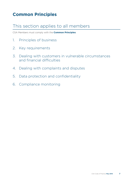### This section applies to all members

CSA Members must comply with the **Common Principles**:

- 1. Principles of business
- 2. Key requirements
- 3. Dealing with customers in vulnerable circumstances and financial difficulties
- 4. Dealing with complaints and disputes
- 5. Data protection and confidentiality
- 6. Compliance monitoring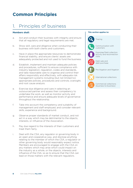### 1. Principles of business

#### **Members shall:**

- a. Act and conduct their business with integrity and ensure that all regulatory and legal requirements are met.
- b. Show skill, care and diligence when conducting their business with both clients and customers.
- c. Have in place the appropriate resources to demonstrate financial stability, and ensure clients' assets are adequately protected and not used to fund the business.
- d. Establish, implement and maintain adequate policies and procedures, sufficient to ensure compliance with industry legislation, regulation, codes and standards, and take reasonable care to organise and control their affairs responsibly and effectively, with adequate risk management systems including (but not limited to): appropriate policies, procedures and controls; oversight; and root cause analysis.
- e. Exercise due diligence and care in selecting an outsourced partner and assess their competency to undertake the work, as well as monitor activity and performance and ensure adequate levels of governance throughout the relationship.
- f. Take into account the competency and suitability of management and staff employed, and consider relevant skills, experience and background.
- g. Observe proper standards of market conduct, and not act in a way which may be detrimental to the objects, interests, or influence of the Association.
- h. Pay due regard to the interests of their customers and treat them fairly.
- i. Deal with the CSA, any regulator or governing body in an open and cooperative way, and disclose anything relating to the member of which the CSA, a regulator or other governing body would reasonably expect notice. Members are encouraged to engage with the CSA on any matters which may arise which could impact on the industry as a whole, or the objects, interests and influence of the CSA, so as to ensure that the CSA can lead on those matters with the relevant regulators.

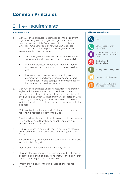# 2. Key requirements

#### **Members shall:**

- a. Conduct their business in compliance with all relevant legislation, regulations, regulatory guidance and requirements and this Code. In addition to this, and whether FCA authorised or not, the CSA expects each member to have in place robust governance arrangements, which include:
	- a clear organisational structure with well-defined, transparent and consistent lines of responsibility;
	- effective processes to identify, manage, monitor and report the risks it is or might be exposed to; and
	- internal control mechanisms, including sound administrative and accounting procedures and effective control and safeguard arrangements for information processing systems.
- b. Conduct their business under names, titles and trading styles which are not intended to confuse, mislead or embarrass clients, creditors, customers or members of the public, and which will not imply any association with other organisations, governmental bodies or persons which either do not exist or carry no association with the business.
- c. Make available on their website (if they have one), or following a request, a copy of this Code.
- d. Provide adequate and sufficient training to its employees in order to ensure that they conduct themselves in accordance with this Code.
- e. Regularly examine and audit their practices, strategies, communications and compliance culture against this Code.
- f. Ensure that any communication complies with this Code and is in plain English.
- g. Not unlawfully discriminate against any person.
- h. Have in place a separate business account for all monies collected on behalf of clients and instruct their bank that the account only holds client money.
- i. Inform their clients of the true rates of charges for services rendered.

### **This section applies to:** Tracing Doorstep/field collection activity and reconnection visits Debt sale and debt purchase Pre-litigation and litigation International collections Communication with customers



Commercial collections (business-to-business)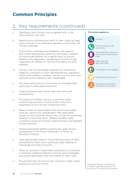### 2. Key requirements (continued)

- j. Distribute client money only as agreed with, or as instructed by, the client.
- k. Report sums collected and remit to their clients at least once a month, or as otherwise agreed or instructed, all monies collected.
- l. Ensure they undertake due diligence, risk analysis and, where appropriate, audit any third party supplier or outsourced partner on a regular basis to ensure adherence to regulatory requirements and this Code, regardless of whether or not the third party is a CSA member.
- m. Comply with all reasonable requests for information made by customers or their representatives, regulators, clients and creditors, whether statutory or not, and upon payment of the statutory fee, if applicable.
- n. Not place restrictions or time limits on the legitimate querying of unallocated payments.
- o. Treat businesses with whom they deal fairly and transparently.
- p. Provide prior written notice to customers when outsourcing accounts, to ensure the customer's awareness of who will be contacting them.
- q. Make contact at reasonable times and at reasonable intervals, taking into consideration the reasonable wishes of the customer, which may include the preferred method of communication. Where possible, make customers aware of business opening times and highlight contact periods.
- r. Where automated dialling systems are used, ensure compliance to the Ofcom Statement of Policy on Persistent Misuse**\***.
- s. Take appropriate steps to ensure the accuracy of data processed by them and in particular data relating to individuals and their accounts.
- t. When an account is reasonably disputed or a complaint is received, suspend collection activity and investigate, and where applicable, refer the matter to their client.
- u. Ensure that they do not put any customer under undue pressure to borrow money.

#### **This section applies to:**



**\****Persistent Misuse: A statement of Ofcom's general policy on the exercise of its enforcement powers.*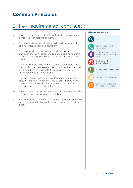# 2. Key requirements (continued)

- v. Take reasonable steps to ensure that the person being contacted is in fact the customer.
- w. Communicate with customers fairly and transparently, and not intentionally mislead them.
- x. Cooperate with customers and their authorised third parties in line with regulatory guidance, and not act in a manner intended to publicly embarrass or cause them distress.
- y. Treat customers fairly and not subject customers (or their authorised representatives) to aggressive practices, or conduct which is deceitful, oppressive, unfair or improper, whether lawful or not.
- z. Exercise forbearance and consideration of a customer's circumstances, of which they are aware - in particular, in relation to those who are particularly vulnerable or experiencing severe financial hardship.
- aa. Take into account a customer's circumstances and ability to pay when seeking to recover debts.
- ab. Ensure that they take into account a customer's domicile and the law applicable to the agreement underlying the debt.

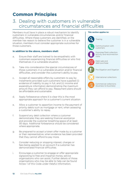### 3. Dealing with customers in vulnerable circumstances and financial difficulties

Members must have in place a robust mechanism to identify customers in vulnerable circumstances and/or financial difficulties. Where these customers are identified, or the member has reason to believe the customer is in a vulnerable situation, members must consider appropriate outcomes for those customers.

#### **In addition to the above, members shall:**

- a. Ensure their staff are trained to be empathetic with customers experiencing financial difficulties or who find themselves in a vulnerable situation.
- b. Take into consideration the special circumstances of those customers in a vulnerable situation and/or financial difficulties, and consider the customer's ability to pay.
- c. Accept all reasonable offers by customers to pay by instalments provided such customers have supplied (i) evidence of inability to pay in full, and (ii) income and expenditure information demonstrating the maximum amount they can afford to pay. Repayment plans should be affordable and sustainable.
- d. Apply forbearance where it is clear this is the most appropriate approach for a customer's current situation.
- e. Allow a customer to apportion income to the payment of priority debts such as mortgage or rent, when assessing a customer's ability to repay.
- f. Suspend any debt collection where a customer demonstrates they are seeking financial assistance and provide the customer breathing space of at least 30 days. Additional forbearance should be considered where appropriate.
- g. Be prepared to accept a token offer made by a customer or their representative, when evidence has been provided that they cannot afford to pay more.
- h. Consider reducing or stopping interest, charges or fees being applied to an account if a customer has demonstrated financial difficulties.
- i. Encourage a customer to engage or offer appropriate signposting to free and impartial money advice organisations who can assist. Further details of those organisations who may be able to help can be found Annex 1 of this Code under Helpful Information.

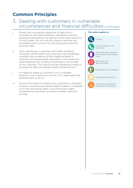### 3. Dealing with customers in vulnerable circumstances and financial difficulties (continued)

- j. Obtain and use special categories of data only in accordance with data protection regulations and any guidance published by the relevant supervisory authority. In most cases, this will only be where a customer has provided explicit consent for processing the sensitive personal data.
- k. Upon identifying a customer with health problems, including mental health and customers with disabilities, consider what evidence of their health problem is necessary and appropriate, especially in circumstances where seeking such evidence could add a cost burden to the customer. This would include requesting evidence through the Debt and Mental Health Evidence Form.
- l. In instances where a customer is in a vulnerable situation, only initiate court action if it is reasonable and proportionate to do so.
- m. Ensure information in relation to a customer's vulnerable situation, including any mental health problems, is passed on to the instructing client or any third party agent subsequently instructed, to ensure a better customer journey.

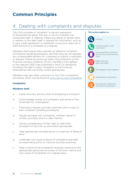### 4. Dealing with complaints and disputes

The CSA considers a 'complaint' to be any expression of dissatisfaction about the way in which a member has conducted itself. A 'dispute' means any denial of certain facts in relation to the debt itself. A request for information, such as a copy credit agreement or statement of account, does not in itself amount to a complaint or a dispute.

Members shall ensure they maintain an effective complaint and dispute handling procedure, and that they do not operate any unreasonable barriers for customers to submit a complaint or dispute. Where accounts are within the jurisdiction of the Financial Conduct Authority (FCA), members must adhere to the relevant DISP rules published in the FCA Handbook, including the right to refer complaints to the Financial Ombudsman Service (FOS), where appropriate.

Members may also refer customers to the CSA's complaints procedure which can be found at www.csa-uk.com/complaints

#### **Complaints**

#### **Members shall:**

- a. Cease recovery activity while investigating a complaint.
- b. Acknowledge receipt of a complaint and advise of the timescales for investigation.
- c. Following a request, provide customers with a copy of their complaint handling procedures.
- d. Handle and deal with complaints, whether verbal or written, promptly and in a clear manner.
- e. Advise complainants of their right to refer their complaint to the CSA, as and where appropriate.
- f. Take appropriate remedial action in instances of failing or error.
- g. Undertake root cause analysis of complaints and take corresponding action to improve business practices.
- h. Keep a record of all complaints received, and ensure the appropriate personnel are aware of the level, nature and root cause of complaints on a regular basis.

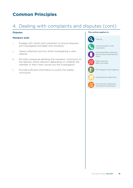# 4. Dealing with complaints and disputes (cont)

#### **Disputes**

#### **Members shall:**

- i. Engage with clients and customers to ensure disputes are investigated and dealt with promptly.
- j. Cease collections activity while investigating a valid dispute.
- k. Provide a response detailing the members' conclusion to the dispute, where relevant, depending on whether the member or their client carries out the investigation.
- l. Provide sufficient information to justify the stated conclusion.

### Tracing Doorstep/field collection activity and reconnection visits Debt sale and debt purchase Pre-litigation and litigation International collections Commercial collections (business-to-business) Communication with customers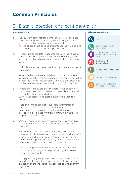### 5. Data protection and confidentiality

#### **Members shall:**

- a. Adequately demonstrate compliance to relevant data protection regulation, and any additional guidance supplied by the relevant supervisory authority, by having appropriate policies and procedures in place, and monitoring those policies and procedures.
- b. Process personal data in accordance with the relevant data protection regulation, and any additional guidance supplied by the relevant supervisory authority and the CSA.
- c. Only obtain and process data from legitimate sources or databases.
- d. When dealing with personal data, provide customers with appropriate information about how their data will be processed, taking into consideration guidance provided by the relevant supervisory authority and/or the CSA.
- e. Where they are aware that the data is out of date or inaccurate, take prompt steps to correct both data held internally and any reported to credit reference agencies (where applicable) and alert clients to the required correction.
- f. Pass on or make promptly available information in relation to a customer's financial circumstances, any dispute or complaint, or vulnerability in order to prevent collection activity from continuing where it is inappropriate to do so.
- g. Use appropriate controls to ensure that any exchange of data to any third party is lawful and adequately protected.
- h. Ensure they have the technical and organisational measures in place to prevent unauthorised and unlawful processing and disclosure of information, and notify the relevant supervisory authority without undue delay, where required, of data protection breaches.
- i. Carry out regular privacy impact assessments, taking into consideration guidance provided by the relevant supervisory authority.
- j. Comply with any subject access request received from an individual or any third party representative acting on behalf of the individual, in accordance with relevant legislation.

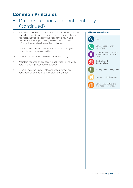# 5. Data protection and confidentiality (continued)

- k. Ensure appropriate data protection checks are carried out when speaking with customers or their authorised representatives to verify their identity and, where necessary and appropriate, validate and update information received from the customer.
- l. Observe and protect each client's data, strategies, integrity and business methods.
- m. Operate a documented data retention policy.
- n. Maintain records of processing activities in line with relevant data protection regulation.
- o. Where required under relevant data protection regulation, appoint a Data Protection Officer.

### **This section applies to:** Tracing Doorstep/field collection activity and reconnection visits Debt sale and debt purchase Pre-litigation and litigation International collections Commercial collections (business-to-business) Communication with customers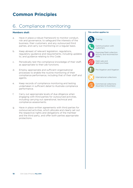# 6. Compliance monitoring

#### **Members shall:**

- a. Have in place a robust framework to monitor conduct, risk and governance, to safeguard the interests of the business, their customers, and any outsourced third parties, and carry out monitoring on a regular basis.
- b. Keep abreast of relevant legislation, regulations, regulatory guidance and requirements, including updates to, and guidance relating to this Code.
- c. Periodically test the compliance knowledge of their staff, as appropriate to their job functions.
- d. Employ appropriate and sufficient organisational processes to enable the routine monitoring of their compliance performance, including that of their staff and agents.
- e. Keep records of compliance monitoring and testing undertaken in sufficient detail to illustrate compliance performance.
- f. Carry out appropriate levels of due diligence when engaging with third parties for outsourced activities, including carrying out operational, technical and compliance assessments.
- g. Have in place written agreements with third parties for outsourced activities, which allocate and clearly set out the respective rights and obligations of the member and the third party, and offer both parties appropriate protections.

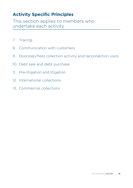This section applies to members who undertake each activity

- 7. Tracing
- 8. Communication with customers
- 9. Doorstep/field collection activity and reconnection visits
- 10. Debt sale and debt purchase
- 11. Pre-litigation and litigation
- 12. International collections
- 13. Commercial collections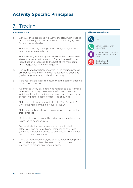# 7. Tracing

#### **Members shall:**

- a. Conduct their practices in a way consistent with treating customers fairly and ensure they are ethical, legal, clear, fair and not misleading.
- b. When outsourcing tracing instructions, supply account level data, where available.
- c. When seeking to identify an individual, take reasonable steps to ensure that data and information used in the identification process is, to the best of the member's knowledge, accurate and adequate.
- d. Ensure that all practices involved in the tracing process are transparent and in line with relevant regulation and guidance, prior to any collections activity.
- e. Take reasonable steps to ensure that the person traced is in fact the customer.
- f. Attempt to verify data obtained relating to a customer's whereabouts using one or more information sources, which could include reliable databases, a soft trace letter, contacting other people or doorstep enquiries.
- g. Not address trace communication to "The Occupier" where the name of the individual is known
- h. Not use neighbours to pass on messages as part of the trace process.
- i. Update all records promptly and accurately, where data is proven to be inaccurate.
- j. Demonstrate that processes are in place to deal effectively and fairly with any instances of mis-trace (when data obtained proves to be inaccurate) and keep records of such instances.
- k. Carry out root cause analysis of trace-related complaints and make appropriate changes to their business practices to reduce any reoccurrence.

#### **This section applies to:**



Communication with customers



Doorstep/field collection activity and reconnection visits

Debt sale and debt purchase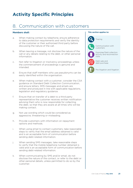### 8. Communication with customers

#### **Members shall:**

- a. When making contact by telephone, ensure adherence to data protection requirements and verify the identity of the customer or their authorised third party before discussing the nature of the call.
- b. When leaving a message, not disclose the nature of the call or any details relating to the debt, or other personal information.
- c. Not refer to litigation or insolvency proceedings unless the commencement of proceedings is genuine and intended.
- d. Ensure that staff members who use pseudonyms can be easily identified within the organisation.
- e. When making contact with a customer, consider the CSA guidance on Standard Debt Collection Communication, and ensure letters, SMS messages and emails are written and produced in line with applicable regulations, legislation and regulatory guidance.
- f. Ensure that on transfer of a debt to a third party representative the customer receives written notification advising them who is now responsible for collecting the debt, so that they are aware at all times who will be making contact.
- g. Not use wording which could be considered as aggressive, threatening or misleading.
- h. Provide customers with information on repayment options and methods.
- i. When using email to contact customers, take reasonable steps to verify that the email address obtained is valid and is an acceptable form of communication before sending debt-related information.
- j. When sending SMS messages, take reasonable steps to verify that the mobile telephone number obtained is valid and is an acceptable form of communication before sending debt-related information.
- k. When communicating by SMS and/or email, do not disclose the nature of the contact, or refer to the debt or other personal details, unless permitted to do so by the customer.

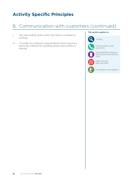### 8. Communication with customers (continued)

- l. Not use trading styles which are likely to mislead or confuse.
- m. Consider any statutory requirements which require a particular method for sending certain documents or notices.

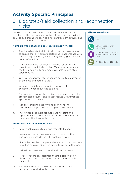### 9. Doorstep/field collection and reconnection visits

Doorstep or field collection and reconnection visits are an effective method of engaging with customers, but should not be used as a threat of action. It is not enforcement activity, and should not be referred to as such.

#### **Members who engage in doorstep/field activity shall:**

- a. Provide adequate training to doorstep representatives to ensure that all visits are performed in accordance with relevant legislation, regulations, regulatory guidance and codes of practice.
- b. Provide doorstep representatives with appropriate identification which should be offered to customers at the first opportunity and made available immediately upon request.
- c. Give, where appropriate, adequate notice to a customer of the time and date of a visit.
- d. Arrange appointments at a time convenient to the customer, when requested to do so.
- e. Ensure any monies collected by doorstep representatives are remitted securely and in accordance with timelines agreed with the client.
- f. Regularly audit the activity and cash-handling procedures adopted by doorstep representatives.
- g. Investigate all complaints made against staff and representatives and provide the details and outcomes of these investigations to the client.

#### **Representatives of members shall:**

- h. Always act in a courteous and respectful manner.
- i. Leave a property when requested to do so by the occupant, in accordance with applicable laws.
- j. Notify the member company where a customer has been identified as vulnerable, who can in turn inform the client.
- k. Maintain accurate records of all visits undertaken.
- l. Properly record any assertion that the person being visited is not the customer and promptly report this to the client.
- m. Ensure information established during the visit is accurately reported to the client.

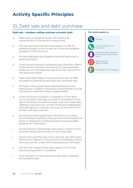### 10.Debt sale and debt purchase

#### **Debt sale - members selling customer accounts shall:**

- a. Make clear to potential buyers the nature and characteristics of the accounts being sold.
- b. Provide clear and sufficient information in order for potential buyers to form a view as to the recoverability prospects of the accounts.
- c. Provide adequate due diligence time and resources to potential buyers.
- d. Once having informed a potential buyer that they intend to sell certain customer accounts to it, use reasonable endeavours to complete the sale of all such accounts to that particular buyer.
- e. Take reasonable steps to ensure the accuracy of data provided to potential buyers both pre- and post-sale.
- f. Promptly notify buyers and potential buyers of any inaccuracies in data or information and promptly provide corrected or alternative data, as appropriate.
- g. Unless the buyer is already in possession of the data, on, or promptly following, the date of completion of the sale of accounts, provide the buyer with up-to-date data relating to the accounts, so that the buyer is adequately informed about a customer's account at the time of first contact with the customer.
- h. Provide post-sale support and information (including documentation relating to the accounts) that enables the buyer to respond to customer queries and reasonable requests for information.
- i. Ensure that any third parties instructed in relation to the accounts being sold are aware of any likely sale.
- j. Ensure that upon the sale of any account, any third party instructed in relation to the accounts immediately ceases recovery activity, unless otherwise agreed by the buyer.
- k. Not limit the scope of post-sale support or the time period during which it is available.
- l. Only request to re-purchase accounts when necessary and proportionate.

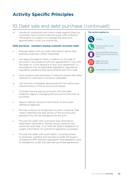# 10.Debt sale and debt purchase (continued)

m. Handle all complaints and claims made against them by customers fairly and provide the buyer with sufficient information to enable it to manage the accounts appropriately in the circumstances.

#### **Debt purchase - members buying customer accounts shall:**

- n. Provide sellers with accurate information about their business practices, where requested.
- o. Use data provided to them in relation to the sale of accounts in accordance with any agreements it has with the seller or, in the absence of any such agreement, in accordance with all applicable legislation, regulations, regulatory guidance and requirements and this Code.
- p. Have systems and processes in place to ensure that data relating to customers is correctly uploaded.
- q. Use recovery strategies appropriate for the nature and characteristics of the accounts purchased.
- r. Consider leaving paying accounts with the debt collection agency managing the account at the time of purchase.
- s. Report relevant account information to the credit reference agencies.
- t. Provide a Notice of Assignment to each customer that clearly identifies the new owner of the account and explains who will be managing the account.
- u. Provide the seller with such post-sale information reasonably required to resolve issues raised by the customer post-sale, or to fulfil the seller's obligation to supply information for judicial or regulatory purposes.
- v. Provide the seller with audit rights, including access to premises, systems and records to audit the buyer's compliance with relevant regulations and legislation and its obligations under the sale and purchase agreement.

# Tracing Communication with customers

**This section applies to:**



Doorstep/field collection activity and reconnection



visits

Debt sale and debt purchase

Pre-litigation and litigation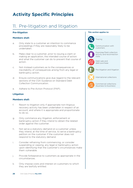# 11. Pre-litigation and litigation

#### **Pre-litigation**

#### **Members shall:**

- a. Only state to a customer an intention to commence proceedings if they are reasonably likely to be undertaken.
- b. Make clear to a customer, prior to issuing a claim or making an application, the intended course of action and what the customer can do to prevent that course of action.
- c. Not mislead customers as to the consequences or inevitability of consequences arising from any legal or bankruptcy action.
- d. Ensure communications give due regard to the relevant sections of the CSA Guidance on Standard Debt Collection Communication.
- e. Adhere to Pre-Action Protocol (PAP).

#### **Litigation**

#### **Members shall:**

- f. Resort to litigation only if appropriate non-litigious recovery activity has been undertaken in respect of an account, and where it is appropriate and proportionate to do so.
- g. Only commence any litigation, enforcement or bankruptcy action if they intend to obtain the related order against the customer.
- h. Not serve a statutory demand on a customer unless they intend, at the time of service, to serve a bankruptcy petition on the customer if the customer does not respond to the statutory demand.
- i. Consider refraining from commencing, or consider suspending or ceasing, any legal or bankruptcy action upon identifying that the customer's circumstances make them vulnerable.
- j. Provide forbearance to customers as appropriate in the circumstances.
- k. Only impose costs and interest on customers to which they are lawfully entitled.

### **This section applies to:** Tracing Doorstep/field collection activity and reconnection visits Debt sale and debt purchase Pre-litigation and litigation International collections Communication with customers



Commercial collections (business-to-business)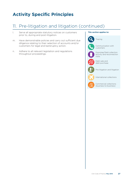# 11. Pre-litigation and litigation (continued)

- l. Serve all appropriate statutory notices on customers prior to, during and post-litigation.
- m. Have demonstrable policies and carry out sufficient due diligence relating to their selection of accounts and/or customers for legal and bankruptcy action.
- n. Adhere to all relevant legislation and regulations throughout proceedings.

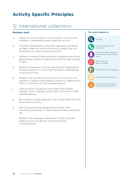### 12. International collections

#### **Members shall:**

- a. Adhere to the jurisdiction of the country in which the member is undertaking debt collection activity.
- b. Consider and adhere to any local regulatory guidance on debt collection within the country where they are attempting to collect unpaid accounts.
- c. Adhere to relevant data protection regulation and have appropriate controls in place to ensure the safe transfer of data.
- d. Maintain all relevant licences, permits and registrations of the jurisdiction in which the member is undertaking collection activity.
- e. Respect the prevailing time zones of the country the member is calling when making contact by telephone or SMS to customers or their representatives.
- f. Take account of statutory and other local market holidays when making contact with customers or their representatives.
- g. Be willing to accept payment in any reasonable and nonsanctioned currency.
- h. Use a recognised exchange rate provider when converting payments or when payment plans are being set.
- i. Respect the language preferences of the customer relative to the jurisdiction, including written communication.

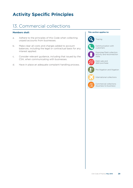# 13. Commercial collections

#### **Members shall:**

- a. Adhere to the principles of this Code when collecting unpaid accounts from businesses.
- b. Make clear all costs and charges added to account balances, including the legal or contractual basis for any interest applied.
- c. Consider relevant guidance, including that issued by the CSA, when communicating with businesses.
- d. Have in place an adequate complaint handling process.

### Tracing Doorstep/field collection activity and reconnection visits Debt sale and debt purchase Pre-litigation and litigation International collections Commercial collections (business-to-business) Communication with customers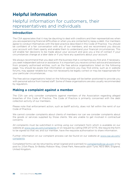### Helpful information for customers, their representatives and individuals

#### **Introduction**

The CSA appreciates that it may be daunting to deal with creditors and their representatives when you are experiencing financial difficulties or when you are contacted to repay a debt. Our members agree to conduct themselves with the best practice described in this Code of Practice. You should be confident of a fair conversation with any of our members, and we recommend you discuss your account with them openly and enable them to understand your financial circumstances. This will enable fair decisions to be made about your account and give you a line of contact if your circumstances change at a later date or if you have any questions about your account.

We always recommend that you deal with the business that is contacting you first and, if necessary, you seek independent advice or assistance. It is important you receive correct advice and assistance from properly authorised entities, such as the free advice organisations listed on the following page. You should be aware that information or opinions you may find online, such as in website forums, may appear reliable but may not necessarily be legally correct or may be inappropriate for your particular circumstances.

The free advice organisations listed on the following page will be better positioned to provide you with personal advice from trained staff. Some of these organisations are also usually recommended by regulators.

#### **Making a complaint against a member**

The CSA can only consider complaints against members of the Association regarding alleged breaches of this Code of Practice. The Code of Practice is primarily concerned with the debt collection activity of our members.

Please note that enforcement action, such as bailiff activity, does not fall within the remit of our Code of Practice.

We cannot consider complaints about clients of members nor can we consider complaints about the goods or services supplied by those clients. We are unable to get involved in contractual concerns.

All complaints must be submitted in writing using our complaint form which is available on our website at www.csa-uk.com/complaints or on request by calling 0191 217 0775. We require the form to be signed so that we, and our member, have the requisite authorisation to share information.

Further information on our complaint process can be found on our website at www.csa-uk.com/ complaints.

Completed forms can be returned by email (signed and scanned) to complaints@csa-uk.com or by post to: 2 Esh Plaza, Sir Bobby Robson Way, Great Park, Newcastle upon Tyne, NE13 9BA, England, United Kingdom.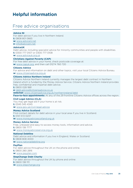### Free advice organisations

#### **Advice NI**

For debt advice if you live in Northern Ireland. **t:** 0808 801 0665 **w:** www.adviceni.net **e:** info@adviceni.net

#### **AdviceUK**

Debt advice, including specialist advice for minority communities and people with disabilities. **t:** 0300 777 0107 or 0300 777 0108

**w:** www.adviceuk.org.uk

#### **Christians Against Poverty (CAP)**

For free debt advice in your home, check postcode coverage at: **w:** www.capuk.org, and then call 01274 760 720

#### **Citizens Advice**

For advice and information on debt and other topics, visit your local Citizens Advice Bureau. **w:** www.citizensadvice.org.uk

#### **Citizens Advice Northern Ireland**

Citizens Advice Northern Ireland currently manages the largest debt contract in Northern Ireland which is funded by the Money Advice Service. Citizens Advice Northern Ireland provides free, confidential and impartial debt advice.

**Civil Legal Advice (CLA) t:** 0800 028 1881

**e:** debt.advice@citizensadvice.co.uk

webchat: www.citizensadvice.org.uk/northernireland/debt

Face-to-face appointments: At any of the 29 frontline Citizens Advice offices across the region.

#### **Civil Legal Advice (CLA)**

You may get legal aid if your home is at risk. **t:** 0345 345 4345 **w:** www.gov.uk/civil-legal-advice

#### **Money Advice Scotland**

Find contact details for debt advice in your local area if you live in Scotland. **t:** 0141 572 0237 **w:** www.moneyadvicescotland.org.uk

#### **Money Advice Service**

Free, unbiased and easy-to-access money tools, information and advice. **t:** 0800 138 7777 **w:** www.moneyadviceservice.org.uk

#### **National Debtline**

Debt advice and information if you live in England, Wales or Scotland. **t:** 0808 808 4000 **w:** www.nationaldebtline.org

#### **PayPlan**

For debt advice throughout the UK on the phone and online. **t:** 0800 280 2816 **w:** www.payplan.com

#### **StepChange Debt Charity** For debt advice throughout the UK by phone and online: **t:** 0800 138 1111 **w:** www.stepchange.org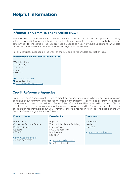#### **Information Commissioner's Office (ICO)**

The Information Commissioner's Office, also known as the ICO, is the UK's independent authority set up to uphold information rights in the public interest, promoting openness of public bodies and data privacy for individuals. The ICO provides guidance to help individuals understand what data protection, freedom of information and related legislation mean to them.

For all enquiries, guidance on the work of the ICO and to report data protection issues:

#### **Information Commissioner's Office (ICO)**

Wycliffe House Water Lane Wilmslow Cheshire SK9 5AF

**w:** www.ico.gov.uk **t:** 0303 123 1113 **e:** casework@ico.gsi.gov.uk

#### **Credit Reference Agencies**

Credit Reference Agencies obtain information from numerous sources to help other creditors make decisions about granting and recovering credit from customers, as well as assisting in locating customers who have moved address. Some of this information will be recorded in the credit file the credit reference agency maintains about you. You can ask the credit reference agencies for a copy of the credit file they hold about you. They may charge a fee for this service. The details of the UK Credit Reference Agencies are as follows:

| <b>Equifax Limited</b>         | <b>Experian Plc</b>         | <b>TransUnion</b>            |  |  |  |  |
|--------------------------------|-----------------------------|------------------------------|--|--|--|--|
|                                |                             |                              |  |  |  |  |
| Equifax Ltd                    | Experian                    | <b>PO Box 491</b>            |  |  |  |  |
| <b>Customer Service Centre</b> | The Sir John Peace Building | Leeds                        |  |  |  |  |
| PO Box 10036                   | Experian Way                | LS3 1WZ                      |  |  |  |  |
| Leicester                      | <b>NG2 Business Park</b>    |                              |  |  |  |  |
| LE3 4FS                        | Nottingham                  | <b>w:</b> www.transunion.com |  |  |  |  |
|                                | <b>NG801ZZ</b>              |                              |  |  |  |  |
| w: www.equifax.co.uk           |                             |                              |  |  |  |  |
| t: 0845 603 6772               | w: www.experian.co.uk       |                              |  |  |  |  |
|                                | <b>t:</b> 0344 481 8000     |                              |  |  |  |  |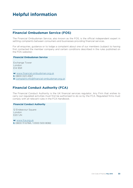#### **Financial Ombudsman Service (FOS)**

The Financial Ombudsman Service, also known as the FOS, is the official independent expert in settling complaints between consumers and businesses providing financial services.

For all enquiries, guidance or to lodge a complaint about one of our members (subject to having first contacted the member company and certain conditions described in the rules published on the FOS website):

#### **Financial Ombudsman Service**

Exchange Tower London E14 9SR

**w:** www.financial-ombudsman.org.uk **t:** 0800 023 4567 **e:** complaint.info@financial-ombudsman.org.uk

#### **Financial Conduct Authority (FCA)**

The Financial Conduct Authority is the UK financial services regulator. Any Firm that wishes to carry out regulated activities must first be authorised to do so by the FCA. Regulated firms must comply with all relevant rules in the FCA Handbook.

#### **Financial Conduct Authority**

12 Endeavour Square London E20 1JN

**w:** www.fca.org.uk **t:** 0800 111 6768 / 0300 500 8082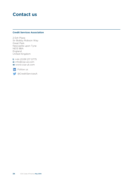### **Contact us**

#### **Credit Services Association**

2 Esh Plaza Sir Bobby Robson Way Great Park Newcastle upon Tyne NE13 9BA England United Kingdom

**t:** +44 (0)191 217 0775 **e:** info@csa-uk.com **w:** www.csa-uk.com

in. Follow us

**C**CreditServicesA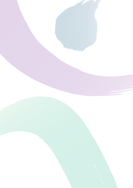